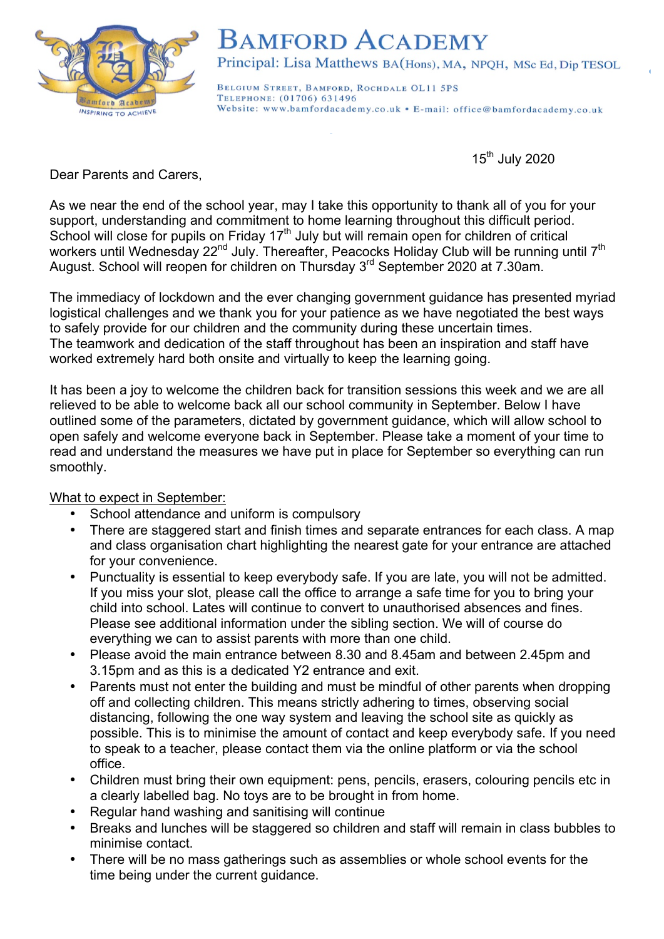

## **BAMFORD ACADEMY**

Principal: Lisa Matthews BA(Hons), MA, NPQH, MSc Ed, Dip TESOL

BELGIUM STREET, BAMFORD, ROCHDALE OL11 5PS TELEPHONE: (01706) 631496 Website: www.bamfordacademy.co.uk • E-mail: office@bamfordacademy.co.uk

15<sup>th</sup> July 2020

Dear Parents and Carers,

As we near the end of the school year, may I take this opportunity to thank all of you for your support, understanding and commitment to home learning throughout this difficult period. School will close for pupils on Friday 17<sup>th</sup> July but will remain open for children of critical workers until Wednesday 22<sup>nd</sup> July. Thereafter, Peacocks Holiday Club will be running until 7<sup>th</sup> August. School will reopen for children on Thursday 3rd September 2020 at 7.30am.

The immediacy of lockdown and the ever changing government guidance has presented myriad logistical challenges and we thank you for your patience as we have negotiated the best ways to safely provide for our children and the community during these uncertain times. The teamwork and dedication of the staff throughout has been an inspiration and staff have worked extremely hard both onsite and virtually to keep the learning going.

It has been a joy to welcome the children back for transition sessions this week and we are all relieved to be able to welcome back all our school community in September. Below I have outlined some of the parameters, dictated by government guidance, which will allow school to open safely and welcome everyone back in September. Please take a moment of your time to read and understand the measures we have put in place for September so everything can run smoothly.

## What to expect in September:

- School attendance and uniform is compulsory
- There are staggered start and finish times and separate entrances for each class. A map and class organisation chart highlighting the nearest gate for your entrance are attached for your convenience.
- Punctuality is essential to keep everybody safe. If you are late, you will not be admitted. If you miss your slot, please call the office to arrange a safe time for you to bring your child into school. Lates will continue to convert to unauthorised absences and fines. Please see additional information under the sibling section. We will of course do everything we can to assist parents with more than one child.
- Please avoid the main entrance between 8.30 and 8.45am and between 2.45pm and 3.15pm and as this is a dedicated Y2 entrance and exit.
- Parents must not enter the building and must be mindful of other parents when dropping off and collecting children. This means strictly adhering to times, observing social distancing, following the one way system and leaving the school site as quickly as possible. This is to minimise the amount of contact and keep everybody safe. If you need to speak to a teacher, please contact them via the online platform or via the school office.
- Children must bring their own equipment: pens, pencils, erasers, colouring pencils etc in a clearly labelled bag. No toys are to be brought in from home.
- Regular hand washing and sanitising will continue
- Breaks and lunches will be staggered so children and staff will remain in class bubbles to minimise contact.
- There will be no mass gatherings such as assemblies or whole school events for the time being under the current guidance.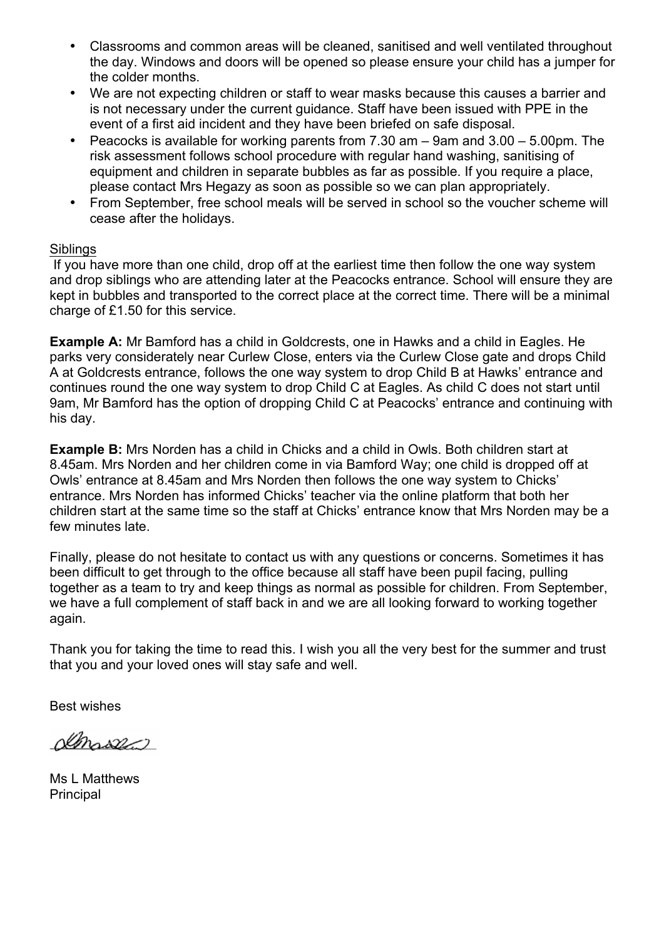- Classrooms and common areas will be cleaned, sanitised and well ventilated throughout the day. Windows and doors will be opened so please ensure your child has a jumper for the colder months.
- We are not expecting children or staff to wear masks because this causes a barrier and is not necessary under the current guidance. Staff have been issued with PPE in the event of a first aid incident and they have been briefed on safe disposal.
- Peacocks is available for working parents from 7.30 am 9am and 3.00 5.00pm. The risk assessment follows school procedure with regular hand washing, sanitising of equipment and children in separate bubbles as far as possible. If you require a place, please contact Mrs Hegazy as soon as possible so we can plan appropriately.
- From September, free school meals will be served in school so the voucher scheme will cease after the holidays.

## **Siblings**

If you have more than one child, drop off at the earliest time then follow the one way system and drop siblings who are attending later at the Peacocks entrance. School will ensure they are kept in bubbles and transported to the correct place at the correct time. There will be a minimal charge of £1.50 for this service.

**Example A:** Mr Bamford has a child in Goldcrests, one in Hawks and a child in Eagles. He parks very considerately near Curlew Close, enters via the Curlew Close gate and drops Child A at Goldcrests entrance, follows the one way system to drop Child B at Hawks' entrance and continues round the one way system to drop Child C at Eagles. As child C does not start until 9am, Mr Bamford has the option of dropping Child C at Peacocks' entrance and continuing with his day.

**Example B:** Mrs Norden has a child in Chicks and a child in Owls. Both children start at 8.45am. Mrs Norden and her children come in via Bamford Way; one child is dropped off at Owls' entrance at 8.45am and Mrs Norden then follows the one way system to Chicks' entrance. Mrs Norden has informed Chicks' teacher via the online platform that both her children start at the same time so the staff at Chicks' entrance know that Mrs Norden may be a few minutes late.

Finally, please do not hesitate to contact us with any questions or concerns. Sometimes it has been difficult to get through to the office because all staff have been pupil facing, pulling together as a team to try and keep things as normal as possible for children. From September, we have a full complement of staff back in and we are all looking forward to working together again.

Thank you for taking the time to read this. I wish you all the very best for the summer and trust that you and your loved ones will stay safe and well.

Best wishes

Amasser

Ms L Matthews **Principal**